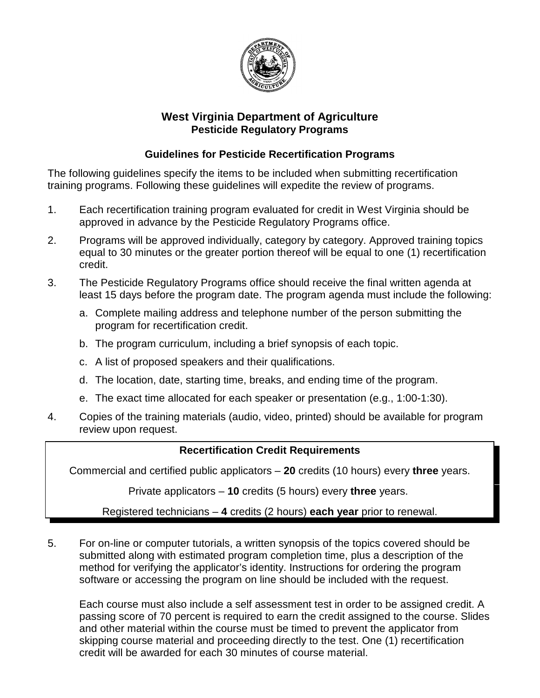

# **West Virginia Department of Agriculture Pesticide Regulatory Programs**

## **Guidelines for Pesticide Recertification Programs**

The following guidelines specify the items to be included when submitting recertification training programs. Following these guidelines will expedite the review of programs.

- 1. Each recertification training program evaluated for credit in West Virginia should be approved in advance by the Pesticide Regulatory Programs office.
- 2. Programs will be approved individually, category by category. Approved training topics equal to 30 minutes or the greater portion thereof will be equal to one (1) recertification credit.
- 3. The Pesticide Regulatory Programs office should receive the final written agenda at least 15 days before the program date. The program agenda must include the following:
	- a. Complete mailing address and telephone number of the person submitting the program for recertification credit.
	- b. The program curriculum, including a brief synopsis of each topic.
	- c. A list of proposed speakers and their qualifications.
	- d. The location, date, starting time, breaks, and ending time of the program.
	- e. The exact time allocated for each speaker or presentation (e.g., 1:00-1:30).
- 4. Copies of the training materials (audio, video, printed) should be available for program review upon request.

### **Recertification Credit Requirements**

Commercial and certified public applicators – **20** credits (10 hours) every **three** years.

Private applicators – **10** credits (5 hours) every **three** years.

Registered technicians – **4** credits (2 hours) **each year** prior to renewal.

5. For on-line or computer tutorials, a written synopsis of the topics covered should be submitted along with estimated program completion time, plus a description of the method for verifying the applicator's identity. Instructions for ordering the program software or accessing the program on line should be included with the request.

Each course must also include a self assessment test in order to be assigned credit. A passing score of 70 percent is required to earn the credit assigned to the course. Slides and other material within the course must be timed to prevent the applicator from skipping course material and proceeding directly to the test. One (1) recertification credit will be awarded for each 30 minutes of course material.